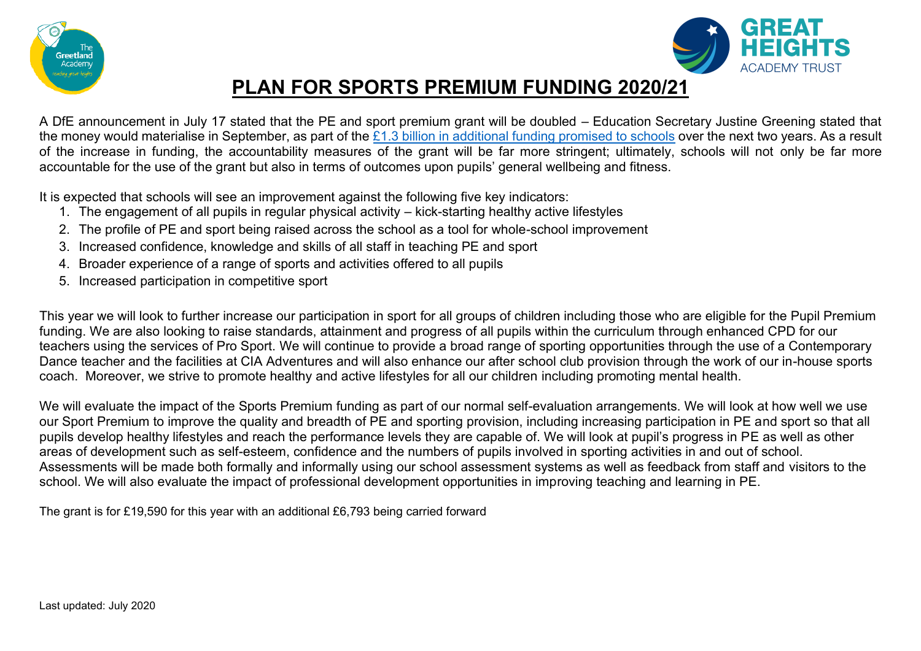



## **PLAN FOR SPORTS PREMIUM FUNDING 2020/21**

A DfE announcement in July 17 stated that the PE and sport premium grant will be doubled – Education Secretary Justine Greening stated that the money would materialise in September, as part of the  $£1.3$  billion in additional funding promised to schools over the next two years. As a result of the increase in funding, the accountability measures of the grant will be far more stringent; ultimately, schools will not only be far more accountable for the use of the grant but also in terms of outcomes upon pupils' general wellbeing and fitness.

It is expected that schools will see an improvement against the following five key indicators:

- 1. The engagement of all pupils in regular physical activity kick-starting healthy active lifestyles
- 2. The profile of PE and sport being raised across the school as a tool for whole-school improvement
- 3. Increased confidence, knowledge and skills of all staff in teaching PE and sport
- 4. Broader experience of a range of sports and activities offered to all pupils
- 5. Increased participation in competitive sport

This year we will look to further increase our participation in sport for all groups of children including those who are eligible for the Pupil Premium funding. We are also looking to raise standards, attainment and progress of all pupils within the curriculum through enhanced CPD for our teachers using the services of Pro Sport. We will continue to provide a broad range of sporting opportunities through the use of a Contemporary Dance teacher and the facilities at CIA Adventures and will also enhance our after school club provision through the work of our in-house sports coach. Moreover, we strive to promote healthy and active lifestyles for all our children including promoting mental health.

We will evaluate the impact of the Sports Premium funding as part of our normal self-evaluation arrangements. We will look at how well we use our Sport Premium to improve the quality and breadth of PE and sporting provision, including increasing participation in PE and sport so that all pupils develop healthy lifestyles and reach the performance levels they are capable of. We will look at pupil's progress in PE as well as other areas of development such as self-esteem, confidence and the numbers of pupils involved in sporting activities in and out of school. Assessments will be made both formally and informally using our school assessment systems as well as feedback from staff and visitors to the school. We will also evaluate the impact of professional development opportunities in improving teaching and learning in PE.

The grant is for £19,590 for this year with an additional £6,793 being carried forward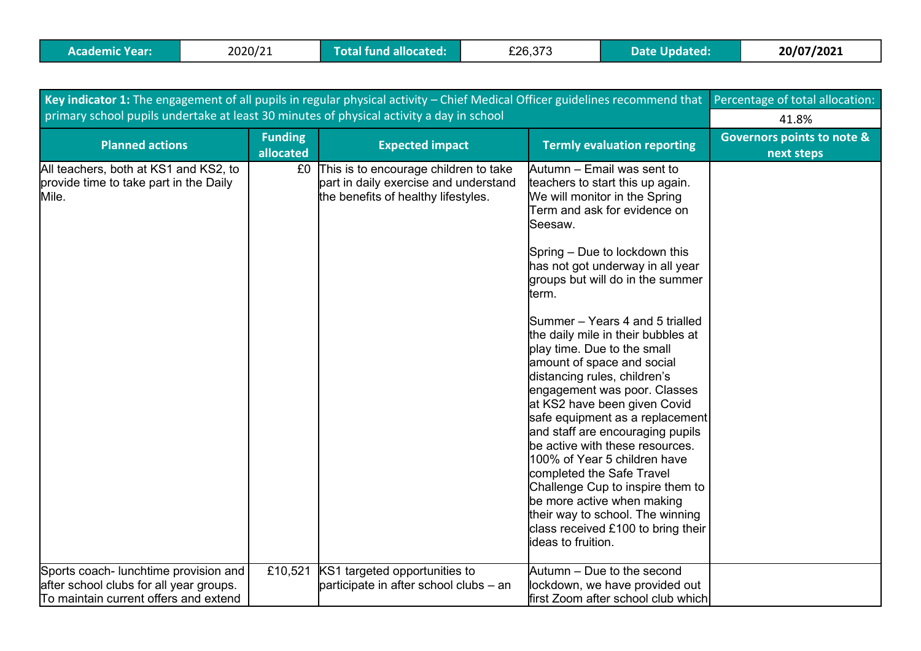| Key indicator 1: The engagement of all pupils in regular physical activity - Chief Medical Officer guidelines recommend that | Percentage of total allocation: |                                                                                                                          |                                                                                                                                                                                                                                                                                                                                                                                                                                                                                                                                                                                                                                                                                                                                                                                                                                             |                                                     |
|------------------------------------------------------------------------------------------------------------------------------|---------------------------------|--------------------------------------------------------------------------------------------------------------------------|---------------------------------------------------------------------------------------------------------------------------------------------------------------------------------------------------------------------------------------------------------------------------------------------------------------------------------------------------------------------------------------------------------------------------------------------------------------------------------------------------------------------------------------------------------------------------------------------------------------------------------------------------------------------------------------------------------------------------------------------------------------------------------------------------------------------------------------------|-----------------------------------------------------|
| primary school pupils undertake at least 30 minutes of physical activity a day in school                                     | 41.8%                           |                                                                                                                          |                                                                                                                                                                                                                                                                                                                                                                                                                                                                                                                                                                                                                                                                                                                                                                                                                                             |                                                     |
| <b>Planned actions</b>                                                                                                       | <b>Funding</b><br>allocated     | <b>Expected impact</b>                                                                                                   | <b>Termly evaluation reporting</b>                                                                                                                                                                                                                                                                                                                                                                                                                                                                                                                                                                                                                                                                                                                                                                                                          | <b>Governors points to note &amp;</b><br>next steps |
| All teachers, both at KS1 and KS2, to<br>provide time to take part in the Daily<br>Mile.                                     |                                 | £0 This is to encourage children to take<br>part in daily exercise and understand<br>the benefits of healthy lifestyles. | Autumn – Email was sent to<br>teachers to start this up again.<br>We will monitor in the Spring<br>Term and ask for evidence on<br>Seesaw.<br>Spring - Due to lockdown this<br>has not got underway in all year<br>groups but will do in the summer<br>term.<br>Summer – Years 4 and 5 trialled<br>the daily mile in their bubbles at<br>play time. Due to the small<br>amount of space and social<br>distancing rules, children's<br>engagement was poor. Classes<br>at KS2 have been given Covid<br>safe equipment as a replacement<br>and staff are encouraging pupils<br>be active with these resources.<br>100% of Year 5 children have<br>completed the Safe Travel<br>Challenge Cup to inspire them to<br>be more active when making<br>their way to school. The winning<br>class received £100 to bring their<br>ideas to fruition. |                                                     |
| Sports coach- lunchtime provision and<br>after school clubs for all year groups.<br>To maintain current offers and extend    | £10,521                         | KS1 targeted opportunities to<br>participate in after school clubs - an                                                  | Autumn - Due to the second<br>lockdown, we have provided out<br>first Zoom after school club which                                                                                                                                                                                                                                                                                                                                                                                                                                                                                                                                                                                                                                                                                                                                          |                                                     |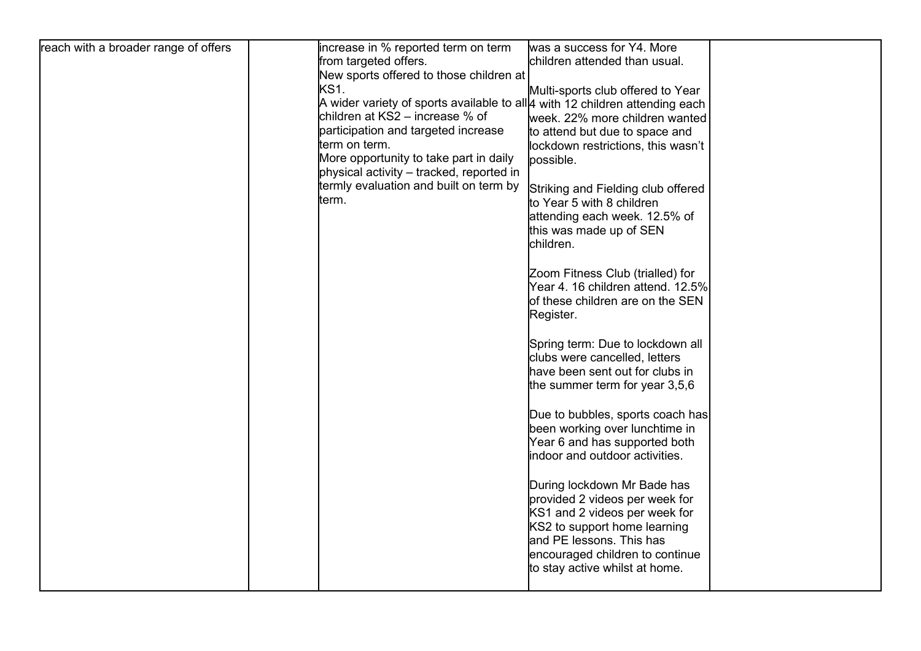| reach with a broader range of offers | increase in % reported term on term                                              | was a success for Y4. More         |  |
|--------------------------------------|----------------------------------------------------------------------------------|------------------------------------|--|
|                                      | from targeted offers.                                                            | children attended than usual.      |  |
|                                      | New sports offered to those children at                                          |                                    |  |
|                                      | <b>KS1.</b>                                                                      | Multi-sports club offered to Year  |  |
|                                      | A wider variety of sports available to all $\mu$ with 12 children attending each |                                    |  |
|                                      | children at KS2 – increase % of                                                  | week. 22% more children wanted     |  |
|                                      | participation and targeted increase                                              | to attend but due to space and     |  |
|                                      | term on term.                                                                    | lockdown restrictions, this wasn't |  |
|                                      | More opportunity to take part in daily                                           | possible.                          |  |
|                                      | physical activity – tracked, reported in                                         |                                    |  |
|                                      | termly evaluation and built on term by                                           | Striking and Fielding club offered |  |
|                                      | term.                                                                            | to Year 5 with 8 children          |  |
|                                      |                                                                                  | attending each week. 12.5% of      |  |
|                                      |                                                                                  | this was made up of SEN            |  |
|                                      |                                                                                  | children.                          |  |
|                                      |                                                                                  |                                    |  |
|                                      |                                                                                  | Zoom Fitness Club (trialled) for   |  |
|                                      |                                                                                  | Year 4. 16 children attend. 12.5%  |  |
|                                      |                                                                                  | of these children are on the SEN   |  |
|                                      |                                                                                  | Register.                          |  |
|                                      |                                                                                  |                                    |  |
|                                      |                                                                                  |                                    |  |
|                                      |                                                                                  | Spring term: Due to lockdown all   |  |
|                                      |                                                                                  | clubs were cancelled, letters      |  |
|                                      |                                                                                  | have been sent out for clubs in    |  |
|                                      |                                                                                  | the summer term for year 3,5,6     |  |
|                                      |                                                                                  |                                    |  |
|                                      |                                                                                  | Due to bubbles, sports coach has   |  |
|                                      |                                                                                  | been working over lunchtime in     |  |
|                                      |                                                                                  | Year 6 and has supported both      |  |
|                                      |                                                                                  | indoor and outdoor activities.     |  |
|                                      |                                                                                  |                                    |  |
|                                      |                                                                                  | During lockdown Mr Bade has        |  |
|                                      |                                                                                  | provided 2 videos per week for     |  |
|                                      |                                                                                  | KS1 and 2 videos per week for      |  |
|                                      |                                                                                  | KS2 to support home learning       |  |
|                                      |                                                                                  | and PE lessons. This has           |  |
|                                      |                                                                                  | encouraged children to continue    |  |
|                                      |                                                                                  | to stay active whilst at home.     |  |
|                                      |                                                                                  |                                    |  |
|                                      |                                                                                  |                                    |  |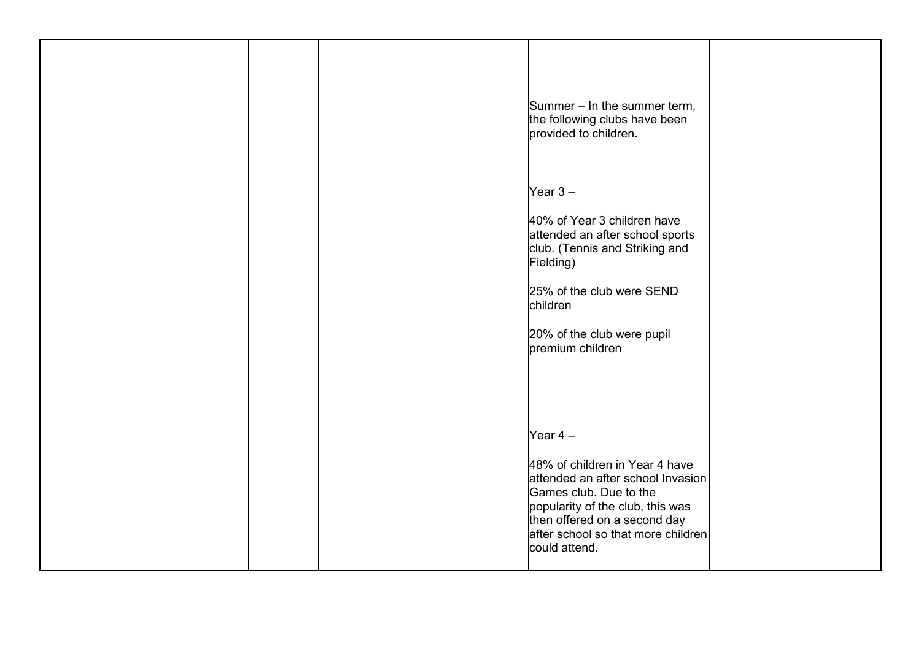|  | Summer - In the summer term,<br>the following clubs have been<br>provided to children.                                                                                                                                                |  |
|--|---------------------------------------------------------------------------------------------------------------------------------------------------------------------------------------------------------------------------------------|--|
|  | Year $3-$<br>40% of Year 3 children have<br>attended an after school sports<br>club. (Tennis and Striking and<br>Fielding)<br>25% of the club were SEND<br>children<br>20% of the club were pupil<br>premium children                 |  |
|  | Year $4-$<br>48% of children in Year 4 have<br>attended an after school Invasion<br>Games club. Due to the<br>popularity of the club, this was<br>then offered on a second day<br>after school so that more children<br>could attend. |  |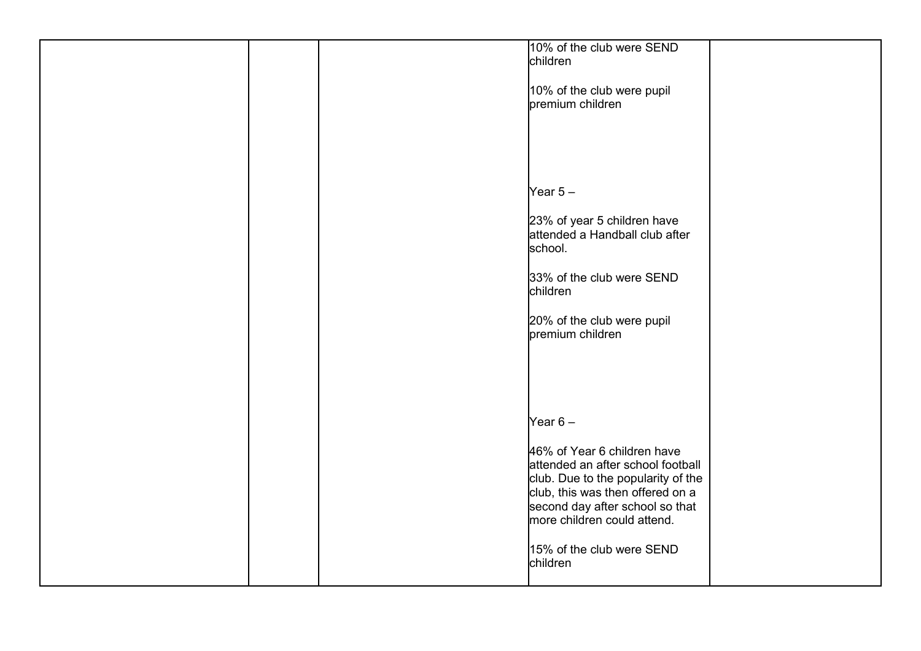|  | 10% of the club were SEND<br>children                                                                                                                                                                        |  |
|--|--------------------------------------------------------------------------------------------------------------------------------------------------------------------------------------------------------------|--|
|  | 10% of the club were pupil<br>premium children                                                                                                                                                               |  |
|  |                                                                                                                                                                                                              |  |
|  |                                                                                                                                                                                                              |  |
|  | Year $5-$                                                                                                                                                                                                    |  |
|  | 23% of year 5 children have<br>attended a Handball club after<br>school.                                                                                                                                     |  |
|  | 33% of the club were SEND<br>children                                                                                                                                                                        |  |
|  | 20% of the club were pupil<br>premium children                                                                                                                                                               |  |
|  |                                                                                                                                                                                                              |  |
|  | Year $6-$                                                                                                                                                                                                    |  |
|  | 46% of Year 6 children have<br>attended an after school football<br>club. Due to the popularity of the<br>club, this was then offered on a<br>second day after school so that<br>more children could attend. |  |
|  | 15% of the club were SEND<br>children                                                                                                                                                                        |  |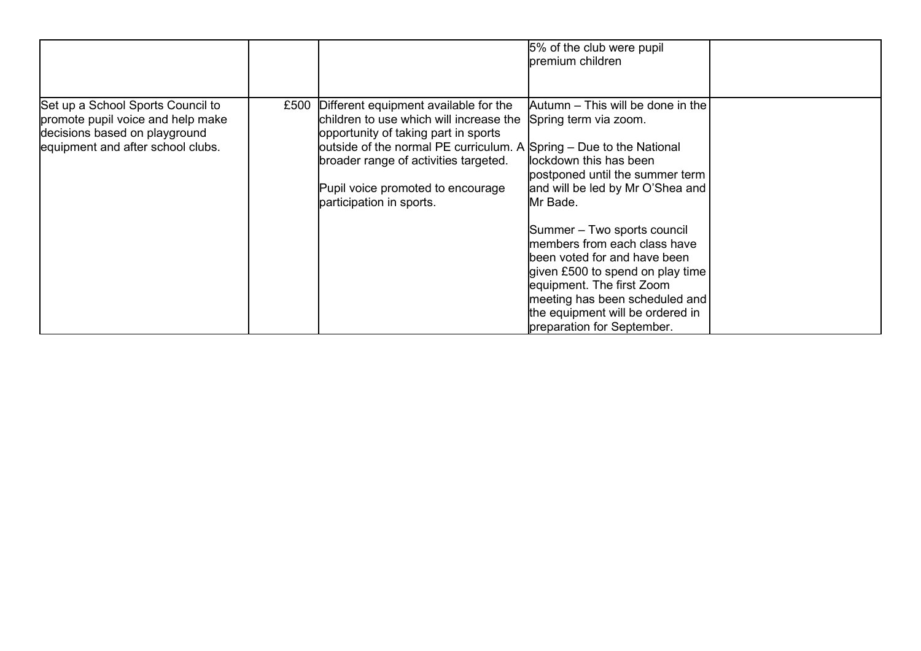|                                                                                                                                              |      |                                                                                                                                                                                                                                                                                                           | 5% of the club were pupil<br>premium children                                                                                                                                                                                                                                                                                                                                                                                                |  |
|----------------------------------------------------------------------------------------------------------------------------------------------|------|-----------------------------------------------------------------------------------------------------------------------------------------------------------------------------------------------------------------------------------------------------------------------------------------------------------|----------------------------------------------------------------------------------------------------------------------------------------------------------------------------------------------------------------------------------------------------------------------------------------------------------------------------------------------------------------------------------------------------------------------------------------------|--|
| Set up a School Sports Council to<br>promote pupil voice and help make<br>decisions based on playground<br>equipment and after school clubs. | £500 | Different equipment available for the<br>children to use which will increase the<br>opportunity of taking part in sports<br>outside of the normal PE curriculum. A Spring - Due to the National<br>broader range of activities targeted.<br>Pupil voice promoted to encourage<br>participation in sports. | Autumn - This will be done in the<br>Spring term via zoom.<br>llockdown this has been<br>postponed until the summer term<br>and will be led by Mr O'Shea and<br>Mr Bade.<br>Summer - Two sports council<br>members from each class have<br>been voted for and have been<br>given £500 to spend on play time<br>equipment. The first Zoom<br>meeting has been scheduled and<br>the equipment will be ordered in<br>preparation for September. |  |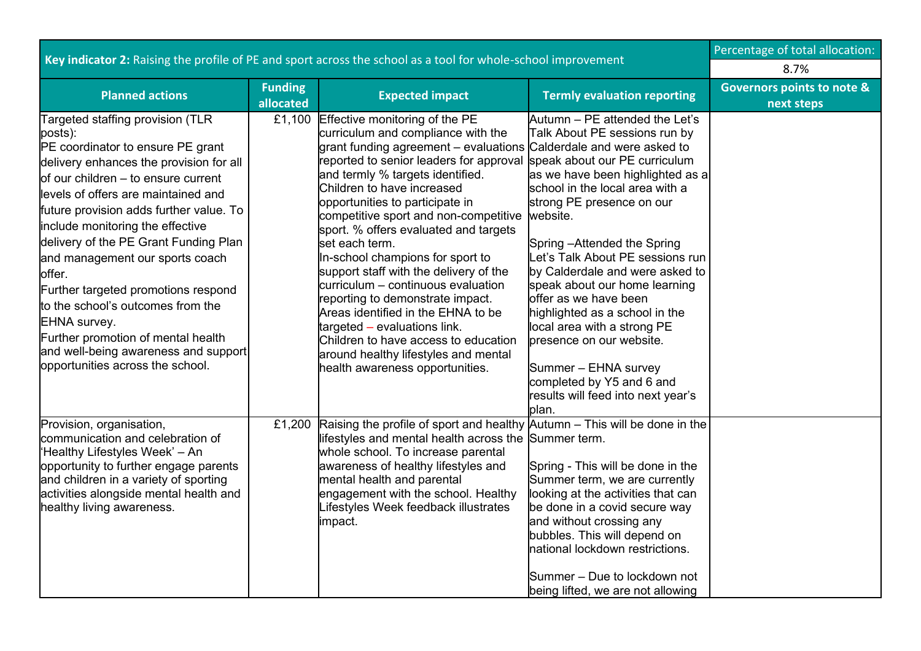|                                                                                                                                                                                                                                                                                                                                                                                                                                                                                                                                                                                              | Percentage of total allocation: |                                                                                                                                                                                                                                                                                                                                                                                                                                                                                                                                                                                                                                                                                                                    |                                                                                                                                                                                                                                                                                                                                                                                                                                                                                                                                                                                                                    |                                                     |
|----------------------------------------------------------------------------------------------------------------------------------------------------------------------------------------------------------------------------------------------------------------------------------------------------------------------------------------------------------------------------------------------------------------------------------------------------------------------------------------------------------------------------------------------------------------------------------------------|---------------------------------|--------------------------------------------------------------------------------------------------------------------------------------------------------------------------------------------------------------------------------------------------------------------------------------------------------------------------------------------------------------------------------------------------------------------------------------------------------------------------------------------------------------------------------------------------------------------------------------------------------------------------------------------------------------------------------------------------------------------|--------------------------------------------------------------------------------------------------------------------------------------------------------------------------------------------------------------------------------------------------------------------------------------------------------------------------------------------------------------------------------------------------------------------------------------------------------------------------------------------------------------------------------------------------------------------------------------------------------------------|-----------------------------------------------------|
| Key indicator 2: Raising the profile of PE and sport across the school as a tool for whole-school improvement                                                                                                                                                                                                                                                                                                                                                                                                                                                                                | 8.7%                            |                                                                                                                                                                                                                                                                                                                                                                                                                                                                                                                                                                                                                                                                                                                    |                                                                                                                                                                                                                                                                                                                                                                                                                                                                                                                                                                                                                    |                                                     |
| <b>Planned actions</b>                                                                                                                                                                                                                                                                                                                                                                                                                                                                                                                                                                       | <b>Funding</b><br>allocated     | <b>Expected impact</b>                                                                                                                                                                                                                                                                                                                                                                                                                                                                                                                                                                                                                                                                                             | <b>Termly evaluation reporting</b>                                                                                                                                                                                                                                                                                                                                                                                                                                                                                                                                                                                 | <b>Governors points to note &amp;</b><br>next steps |
| Targeted staffing provision (TLR<br>posts):<br>PE coordinator to ensure PE grant<br>delivery enhances the provision for all<br>of our children - to ensure current<br>levels of offers are maintained and<br>future provision adds further value. To<br>include monitoring the effective<br>delivery of the PE Grant Funding Plan<br>and management our sports coach<br>offer.<br>Further targeted promotions respond<br>to the school's outcomes from the<br>EHNA survey.<br>Further promotion of mental health<br>and well-being awareness and support<br>opportunities across the school. | £1,100                          | Effective monitoring of the PE<br>curriculum and compliance with the<br>grant funding agreement - evaluations<br>reported to senior leaders for approval<br>and termly % targets identified.<br>Children to have increased<br>opportunities to participate in<br>competitive sport and non-competitive<br>sport. % offers evaluated and targets<br>set each term.<br>In-school champions for sport to<br>support staff with the delivery of the<br>curriculum - continuous evaluation<br>reporting to demonstrate impact.<br>Areas identified in the EHNA to be<br>targeted - evaluations link.<br>Children to have access to education<br>around healthy lifestyles and mental<br>health awareness opportunities. | Autumn - PE attended the Let's<br>Talk About PE sessions run by<br>Calderdale and were asked to<br>speak about our PE curriculum<br>as we have been highlighted as a<br>school in the local area with a<br>strong PE presence on our<br>website.<br>Spring - Attended the Spring<br>Let's Talk About PE sessions run<br>by Calderdale and were asked to<br>speak about our home learning<br>offer as we have been<br>highlighted as a school in the<br>local area with a strong PE<br>presence on our website.<br>Summer - EHNA survey<br>completed by Y5 and 6 and<br>results will feed into next year's<br>blan. |                                                     |
| Provision, organisation,<br>communication and celebration of<br>Healthy Lifestyles Week' - An<br>opportunity to further engage parents<br>and children in a variety of sporting<br>activities alongside mental health and<br>healthy living awareness.                                                                                                                                                                                                                                                                                                                                       | £1,200                          | Raising the profile of sport and healthy Autumn - This will be done in the<br>lifestyles and mental health across the<br>whole school. To increase parental<br>awareness of healthy lifestyles and<br>mental health and parental<br>engagement with the school. Healthy<br>Lifestyles Week feedback illustrates<br>impact.                                                                                                                                                                                                                                                                                                                                                                                         | Summer term.<br>Spring - This will be done in the<br>Summer term, we are currently<br>looking at the activities that can<br>be done in a covid secure way<br>and without crossing any<br>bubbles. This will depend on<br>national lockdown restrictions.<br>Summer - Due to lockdown not<br>being lifted, we are not allowing                                                                                                                                                                                                                                                                                      |                                                     |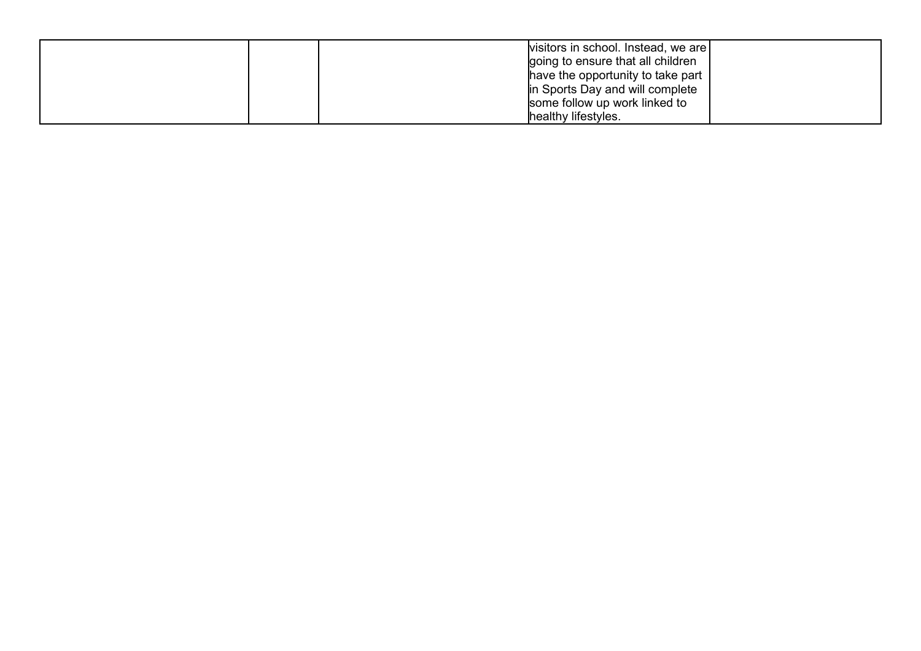| visitors in school. Instead, we are |
|-------------------------------------|
| going to ensure that all children   |
| have the opportunity to take part   |
| in Sports Day and will complete     |
| some follow up work linked to       |
| healthy lifestyles.                 |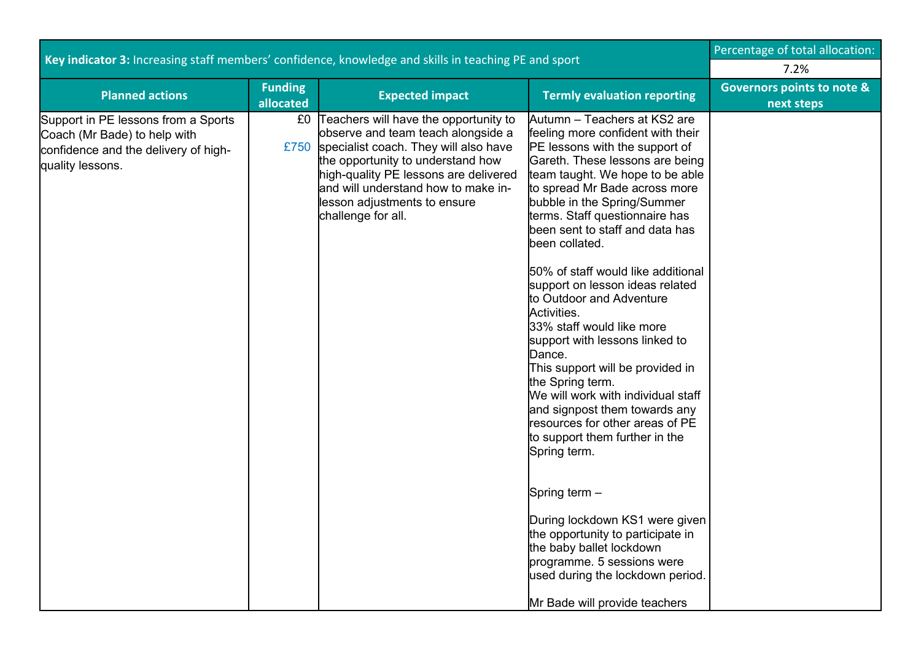|                                                                                                                                 | Percentage of total allocation: |                                                                                                                                                                                                                                                                                                      |                                                                                                                                                                                                                                                                                                                                                                                                                                                                                                                                                                                                                                                                                                                                                                                                                                                                                                                                         |                                                     |
|---------------------------------------------------------------------------------------------------------------------------------|---------------------------------|------------------------------------------------------------------------------------------------------------------------------------------------------------------------------------------------------------------------------------------------------------------------------------------------------|-----------------------------------------------------------------------------------------------------------------------------------------------------------------------------------------------------------------------------------------------------------------------------------------------------------------------------------------------------------------------------------------------------------------------------------------------------------------------------------------------------------------------------------------------------------------------------------------------------------------------------------------------------------------------------------------------------------------------------------------------------------------------------------------------------------------------------------------------------------------------------------------------------------------------------------------|-----------------------------------------------------|
| Key indicator 3: Increasing staff members' confidence, knowledge and skills in teaching PE and sport                            | 7.2%                            |                                                                                                                                                                                                                                                                                                      |                                                                                                                                                                                                                                                                                                                                                                                                                                                                                                                                                                                                                                                                                                                                                                                                                                                                                                                                         |                                                     |
| <b>Planned actions</b>                                                                                                          | <b>Funding</b><br>allocated     | <b>Expected impact</b>                                                                                                                                                                                                                                                                               | <b>Termly evaluation reporting</b>                                                                                                                                                                                                                                                                                                                                                                                                                                                                                                                                                                                                                                                                                                                                                                                                                                                                                                      | <b>Governors points to note &amp;</b><br>next steps |
| Support in PE lessons from a Sports<br>Coach (Mr Bade) to help with<br>confidence and the delivery of high-<br>quality lessons. | £0                              | Teachers will have the opportunity to<br>observe and team teach alongside a<br>£750 specialist coach. They will also have<br>the opportunity to understand how<br>high-quality PE lessons are delivered<br>and will understand how to make in-<br>lesson adjustments to ensure<br>challenge for all. | Autumn – Teachers at KS2 are<br>feeling more confident with their<br>PE lessons with the support of<br>Gareth. These lessons are being<br>team taught. We hope to be able<br>to spread Mr Bade across more<br>bubble in the Spring/Summer<br>terms. Staff questionnaire has<br>been sent to staff and data has<br>been collated.<br>50% of staff would like additional<br>support on lesson ideas related<br>to Outdoor and Adventure<br>Activities.<br>33% staff would like more<br>support with lessons linked to<br>Dance.<br>This support will be provided in<br>the Spring term.<br>We will work with individual staff<br>and signpost them towards any<br>resources for other areas of PE<br>to support them further in the<br>Spring term.<br>Spring term -<br>During lockdown KS1 were given<br>the opportunity to participate in<br>the baby ballet lockdown<br>programme. 5 sessions were<br>used during the lockdown period. |                                                     |
|                                                                                                                                 |                                 |                                                                                                                                                                                                                                                                                                      | Mr Bade will provide teachers                                                                                                                                                                                                                                                                                                                                                                                                                                                                                                                                                                                                                                                                                                                                                                                                                                                                                                           |                                                     |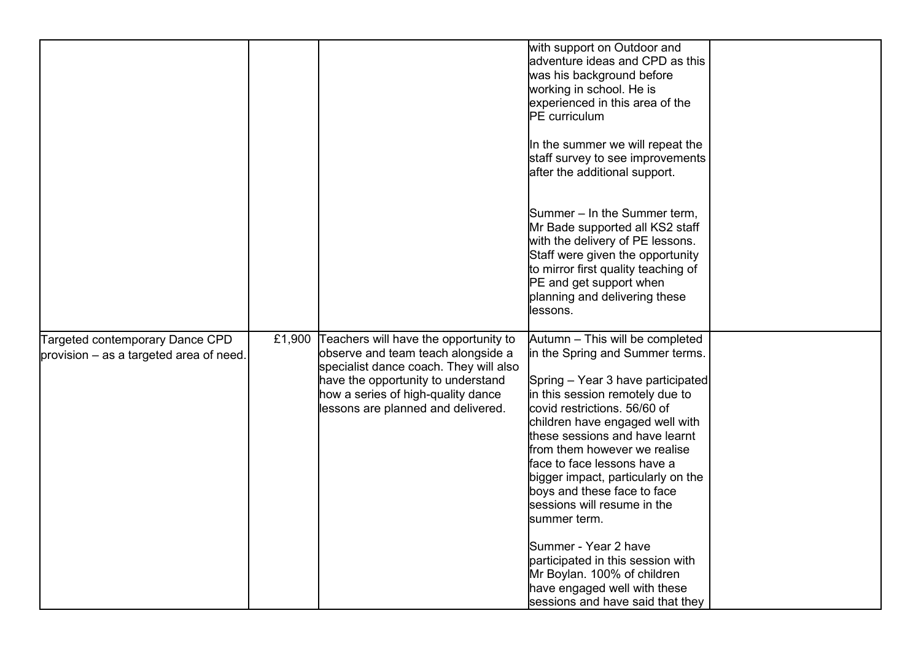|                                                                              |        |                                                                                                                                                                                                                                         | with support on Outdoor and<br>adventure ideas and CPD as this<br>was his background before<br>working in school. He is<br>experienced in this area of the<br><b>PE</b> curriculum<br>In the summer we will repeat the<br>staff survey to see improvements<br>after the additional support.                                                                                                                                                                                                                                                                    |  |
|------------------------------------------------------------------------------|--------|-----------------------------------------------------------------------------------------------------------------------------------------------------------------------------------------------------------------------------------------|----------------------------------------------------------------------------------------------------------------------------------------------------------------------------------------------------------------------------------------------------------------------------------------------------------------------------------------------------------------------------------------------------------------------------------------------------------------------------------------------------------------------------------------------------------------|--|
|                                                                              |        |                                                                                                                                                                                                                                         | Summer – In the Summer term,<br>Mr Bade supported all KS2 staff<br>with the delivery of PE lessons.<br>Staff were given the opportunity<br>to mirror first quality teaching of<br>PE and get support when<br>planning and delivering these<br>lessons.                                                                                                                                                                                                                                                                                                         |  |
| Targeted contemporary Dance CPD<br>provision $-$ as a targeted area of need. | £1,900 | Teachers will have the opportunity to<br>observe and team teach alongside a<br>specialist dance coach. They will also<br>have the opportunity to understand<br>how a series of high-quality dance<br>lessons are planned and delivered. | Autumn - This will be completed<br>in the Spring and Summer terms.<br>Spring - Year 3 have participated<br>in this session remotely due to<br>covid restrictions. 56/60 of<br>children have engaged well with<br>these sessions and have learnt<br>from them however we realise<br>face to face lessons have a<br>bigger impact, particularly on the<br>boys and these face to face<br>sessions will resume in the<br>summer term.<br>Summer - Year 2 have<br>participated in this session with<br>Mr Boylan. 100% of children<br>have engaged well with these |  |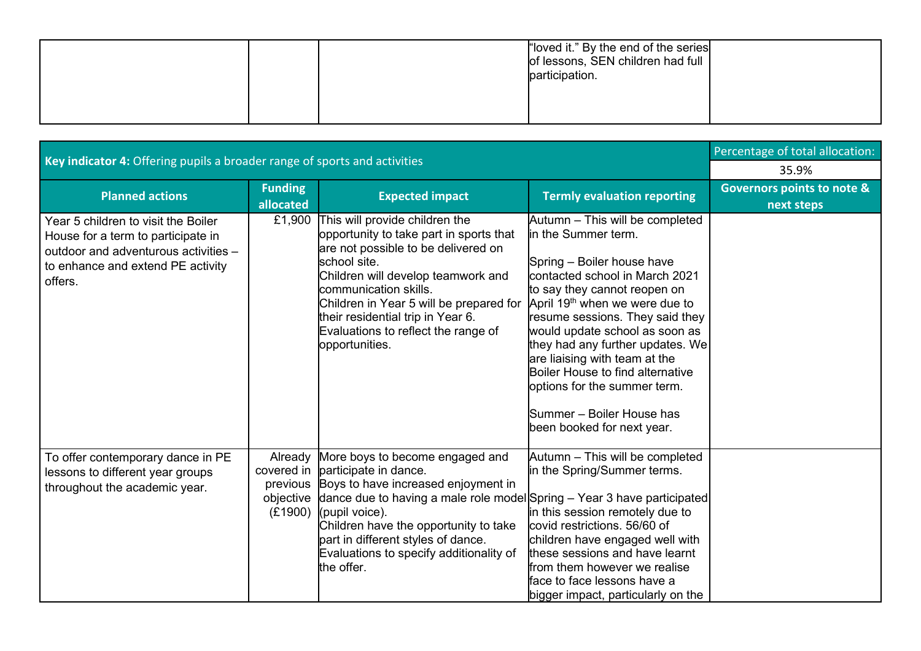|  | "loved it." By the end of the series<br>of lessons, SEN children had full<br>participation. |  |
|--|---------------------------------------------------------------------------------------------|--|
|  |                                                                                             |  |

|                                                                                                                                                                   | Percentage of total allocation:   |                                                                                                                                                                                                                                                                                                                                                          |                                                                                                                                                                                                                                                                                                                                                                                                                                                                               |                                                     |
|-------------------------------------------------------------------------------------------------------------------------------------------------------------------|-----------------------------------|----------------------------------------------------------------------------------------------------------------------------------------------------------------------------------------------------------------------------------------------------------------------------------------------------------------------------------------------------------|-------------------------------------------------------------------------------------------------------------------------------------------------------------------------------------------------------------------------------------------------------------------------------------------------------------------------------------------------------------------------------------------------------------------------------------------------------------------------------|-----------------------------------------------------|
| Key indicator 4: Offering pupils a broader range of sports and activities                                                                                         | 35.9%                             |                                                                                                                                                                                                                                                                                                                                                          |                                                                                                                                                                                                                                                                                                                                                                                                                                                                               |                                                     |
| <b>Planned actions</b>                                                                                                                                            | <b>Funding</b><br>allocated       | <b>Expected impact</b>                                                                                                                                                                                                                                                                                                                                   | <b>Termly evaluation reporting</b>                                                                                                                                                                                                                                                                                                                                                                                                                                            | <b>Governors points to note &amp;</b><br>next steps |
| Year 5 children to visit the Boiler<br>House for a term to participate in<br>outdoor and adventurous activities -<br>to enhance and extend PE activity<br>offers. |                                   | £1,900 This will provide children the<br>opportunity to take part in sports that<br>are not possible to be delivered on<br>school site.<br>Children will develop teamwork and<br>communication skills.<br>Children in Year 5 will be prepared for<br>their residential trip in Year 6.<br>Evaluations to reflect the range of<br>opportunities.          | Autumn - This will be completed<br>in the Summer term.<br>Spring - Boiler house have<br>contacted school in March 2021<br>to say they cannot reopen on<br>April 19 <sup>th</sup> when we were due to<br>resume sessions. They said they<br>would update school as soon as<br>they had any further updates. We<br>are liaising with team at the<br>Boiler House to find alternative<br>options for the summer term.<br>Summer - Boiler House has<br>been booked for next year. |                                                     |
| To offer contemporary dance in PE<br>lessons to different year groups<br>throughout the academic year.                                                            | Already<br>covered in<br>previous | More boys to become engaged and<br>participate in dance.<br>Boys to have increased enjoyment in<br>objective dance due to having a male role model Spring - Year 3 have participated<br>$(E1900)$ (pupil voice).<br>Children have the opportunity to take<br>part in different styles of dance.<br>Evaluations to specify additionality of<br>the offer. | Autumn - This will be completed<br>in the Spring/Summer terms.<br>in this session remotely due to<br>covid restrictions, 56/60 of<br>children have engaged well with<br>these sessions and have learnt<br>from them however we realise<br>face to face lessons have a<br>bigger impact, particularly on the                                                                                                                                                                   |                                                     |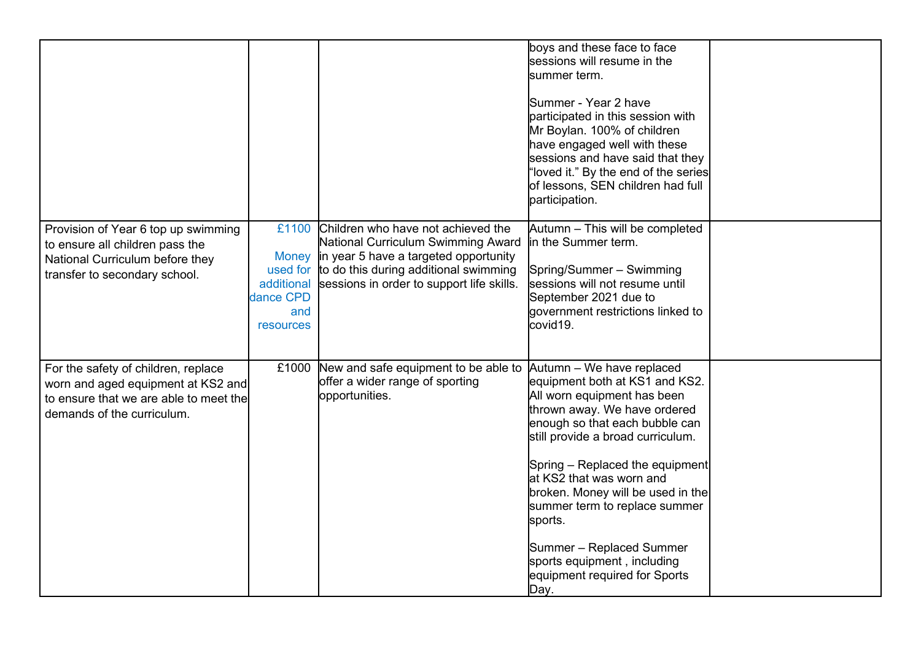|                                                                                                                                                   |                                                                  |                                                                                                                                                                                                               | boys and these face to face<br>sessions will resume in the<br>summer term.<br>Summer - Year 2 have<br>participated in this session with<br>Mr Boylan. 100% of children<br>have engaged well with these<br>sessions and have said that they<br>"loved it." By the end of the series<br>of lessons, SEN children had full<br>participation.                                                                                                             |  |
|---------------------------------------------------------------------------------------------------------------------------------------------------|------------------------------------------------------------------|---------------------------------------------------------------------------------------------------------------------------------------------------------------------------------------------------------------|-------------------------------------------------------------------------------------------------------------------------------------------------------------------------------------------------------------------------------------------------------------------------------------------------------------------------------------------------------------------------------------------------------------------------------------------------------|--|
| Provision of Year 6 top up swimming<br>to ensure all children pass the<br>National Curriculum before they<br>transfer to secondary school.        | £1100<br>used for<br>additional<br>dance CPD<br>and<br>resources | Children who have not achieved the<br>National Curriculum Swimming Award<br>Money in year 5 have a targeted opportunity<br>to do this during additional swimming<br>sessions in order to support life skills. | Autumn - This will be completed<br>in the Summer term.<br>Spring/Summer - Swimming<br>sessions will not resume until<br>September 2021 due to<br>government restrictions linked to<br>covid19.                                                                                                                                                                                                                                                        |  |
| For the safety of children, replace<br>worn and aged equipment at KS2 and<br>to ensure that we are able to meet the<br>demands of the curriculum. |                                                                  | £1000 New and safe equipment to be able to<br>offer a wider range of sporting<br>opportunities.                                                                                                               | Autumn - We have replaced<br>equipment both at KS1 and KS2.<br>All worn equipment has been<br>thrown away. We have ordered<br>enough so that each bubble can<br>still provide a broad curriculum.<br>Spring – Replaced the equipment<br>at KS2 that was worn and<br>broken. Money will be used in the<br>summer term to replace summer<br>sports.<br>Summer - Replaced Summer<br>sports equipment, including<br>equipment required for Sports<br>Day. |  |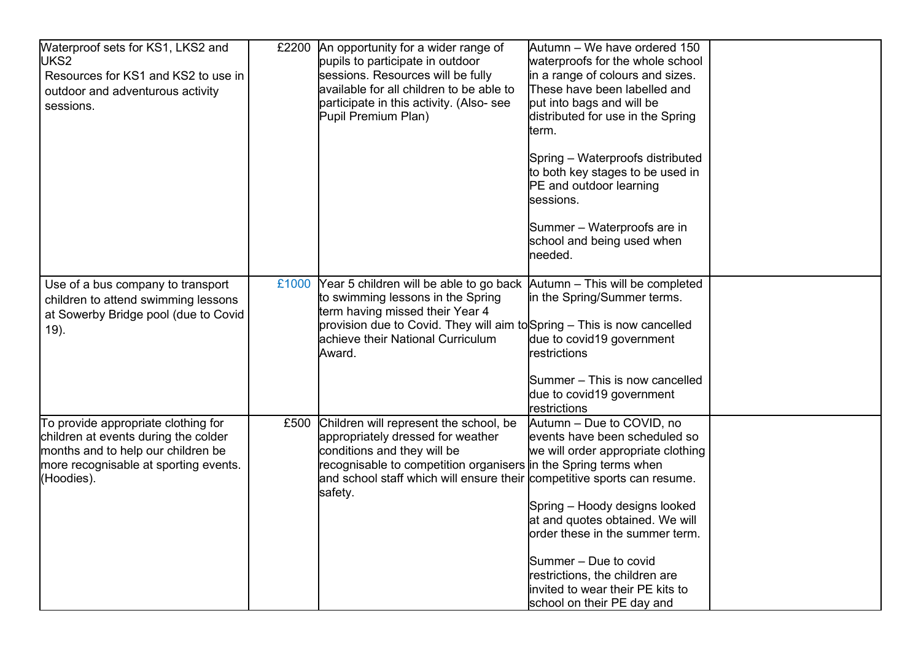| Waterproof sets for KS1, LKS2 and<br>UKS2<br>Resources for KS1 and KS2 to use in<br>outdoor and adventurous activity<br>sessions.                                        | £2200 | An opportunity for a wider range of<br>pupils to participate in outdoor<br>sessions. Resources will be fully<br>available for all children to be able to<br>participate in this activity. (Also-see<br>Pupil Premium Plan)                                               | Autumn - We have ordered 150<br>waterproofs for the whole school<br>in a range of colours and sizes.<br>These have been labelled and<br>put into bags and will be<br>distributed for use in the Spring<br>term.<br>Spring - Waterproofs distributed<br>to both key stages to be used in<br>PE and outdoor learning<br>sessions.<br>Summer - Waterproofs are in<br>school and being used when<br>needed. |  |
|--------------------------------------------------------------------------------------------------------------------------------------------------------------------------|-------|--------------------------------------------------------------------------------------------------------------------------------------------------------------------------------------------------------------------------------------------------------------------------|---------------------------------------------------------------------------------------------------------------------------------------------------------------------------------------------------------------------------------------------------------------------------------------------------------------------------------------------------------------------------------------------------------|--|
| Use of a bus company to transport<br>children to attend swimming lessons<br>at Sowerby Bridge pool (due to Covid<br>19).                                                 | £1000 | Year 5 children will be able to go back<br>to swimming lessons in the Spring<br>term having missed their Year 4<br>provision due to Covid. They will aim to Spring – This is now cancelled<br>achieve their National Curriculum<br>Award.                                | Autumn - This will be completed<br>in the Spring/Summer terms.<br>due to covid19 government<br>restrictions<br>Summer - This is now cancelled<br>due to covid19 government<br>restrictions                                                                                                                                                                                                              |  |
| To provide appropriate clothing for<br>children at events during the colder<br>months and to help our children be<br>more recognisable at sporting events.<br>(Hoodies). |       | £500 Children will represent the school, be<br>appropriately dressed for weather<br>conditions and they will be<br>recognisable to competition organisers in the Spring terms when<br>and school staff which will ensure their competitive sports can resume.<br>safety. | Autumn - Due to COVID, no<br>events have been scheduled so<br>we will order appropriate clothing<br>Spring - Hoody designs looked<br>at and quotes obtained. We will<br>order these in the summer term.<br>Summer – Due to covid<br>restrictions, the children are<br>invited to wear their PE kits to<br>school on their PE day and                                                                    |  |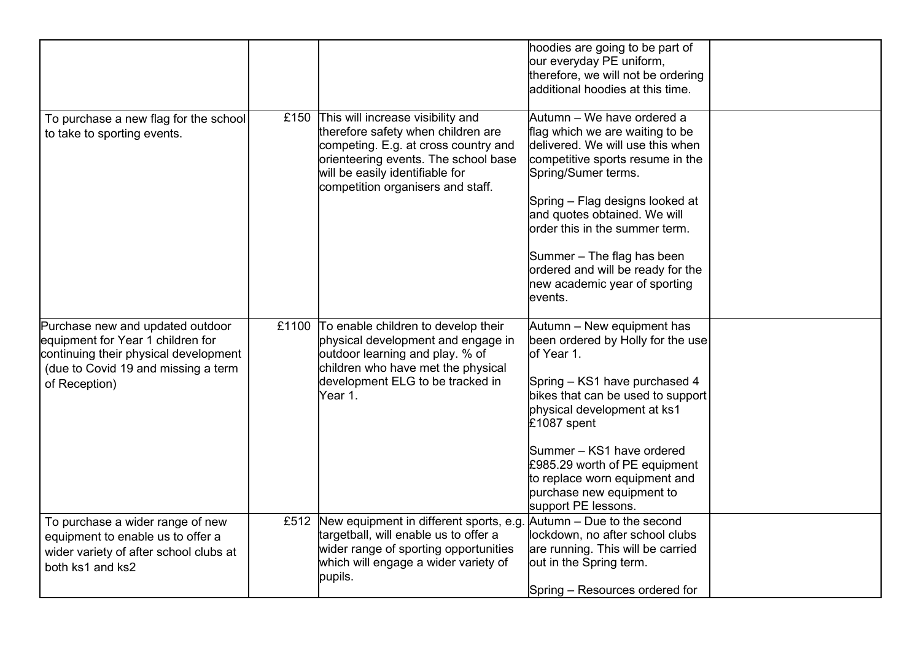|                                                                                                                                                                        |                                                                                                                                                                                                                                      | hoodies are going to be part of<br>our everyday PE uniform,<br>therefore, we will not be ordering<br>additional hoodies at this time.                                                                                                                                                                                                                                            |  |
|------------------------------------------------------------------------------------------------------------------------------------------------------------------------|--------------------------------------------------------------------------------------------------------------------------------------------------------------------------------------------------------------------------------------|----------------------------------------------------------------------------------------------------------------------------------------------------------------------------------------------------------------------------------------------------------------------------------------------------------------------------------------------------------------------------------|--|
| To purchase a new flag for the school<br>to take to sporting events.                                                                                                   | £150 This will increase visibility and<br>therefore safety when children are<br>competing. E.g. at cross country and<br>orienteering events. The school base<br>will be easily identifiable for<br>competition organisers and staff. | Autumn – We have ordered a<br>flag which we are waiting to be<br>delivered. We will use this when<br>competitive sports resume in the<br>Spring/Sumer terms.<br>Spring - Flag designs looked at<br>and quotes obtained. We will<br>order this in the summer term.<br>Summer - The flag has been<br>ordered and will be ready for the<br>new academic year of sporting<br>events. |  |
| Purchase new and updated outdoor<br>equipment for Year 1 children for<br>continuing their physical development<br>(due to Covid 19 and missing a term<br>of Reception) | £1100 To enable children to develop their<br>physical development and engage in<br>outdoor learning and play. % of<br>children who have met the physical<br>development ELG to be tracked in<br>Year 1.                              | Autumn - New equipment has<br>been ordered by Holly for the use<br>of Year 1.<br>Spring - KS1 have purchased 4<br>bikes that can be used to support<br>physical development at ks1<br>£1087 spent<br>Summer - KS1 have ordered<br>£985.29 worth of PE equipment<br>to replace worn equipment and<br>purchase new equipment to<br>support PE lessons.                             |  |
| To purchase a wider range of new<br>equipment to enable us to offer a<br>wider variety of after school clubs at<br>both ks1 and ks2                                    | £512 New equipment in different sports, e.g.<br>targetball, will enable us to offer a<br>wider range of sporting opportunities<br>which will engage a wider variety of<br>pupils.                                                    | Autumn - Due to the second<br>lockdown, no after school clubs<br>are running. This will be carried<br>out in the Spring term.<br>Spring - Resources ordered for                                                                                                                                                                                                                  |  |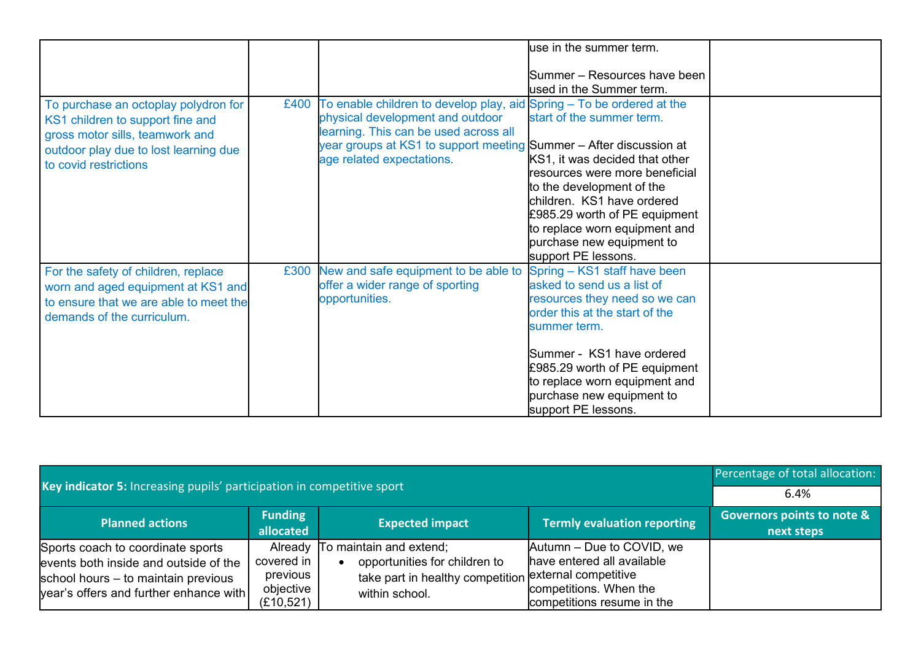|                                                                                                                                                                               |      |                                                                                                                                                                                                                                                       | luse in the summer term.                                                                                                                                                                                                                                                                         |  |
|-------------------------------------------------------------------------------------------------------------------------------------------------------------------------------|------|-------------------------------------------------------------------------------------------------------------------------------------------------------------------------------------------------------------------------------------------------------|--------------------------------------------------------------------------------------------------------------------------------------------------------------------------------------------------------------------------------------------------------------------------------------------------|--|
|                                                                                                                                                                               |      |                                                                                                                                                                                                                                                       | Summer – Resources have been                                                                                                                                                                                                                                                                     |  |
|                                                                                                                                                                               |      |                                                                                                                                                                                                                                                       | used in the Summer term.                                                                                                                                                                                                                                                                         |  |
| To purchase an octoplay polydron for<br>KS1 children to support fine and<br>gross motor sills, teamwork and<br>outdoor play due to lost learning due<br>to covid restrictions | £400 | To enable children to develop play, aid Spring - To be ordered at the<br>physical development and outdoor<br>learning. This can be used across all<br>year groups at KS1 to support meeting Summer – After discussion at<br>age related expectations. | start of the summer term.<br>KS1, it was decided that other<br>resources were more beneficial<br>to the development of the<br>children. KS1 have ordered<br>£985.29 worth of PE equipment<br>to replace worn equipment and<br>purchase new equipment to<br>support PE lessons.                   |  |
| For the safety of children, replace<br>worn and aged equipment at KS1 and<br>to ensure that we are able to meet the<br>demands of the curriculum.                             | £300 | New and safe equipment to be able to<br>offer a wider range of sporting<br>opportunities.                                                                                                                                                             | Spring - KS1 staff have been<br>asked to send us a list of<br>resources they need so we can<br>order this at the start of the<br>summer term.<br>Summer - KS1 have ordered<br>£985.29 worth of PE equipment<br>to replace worn equipment and<br>purchase new equipment to<br>support PE lessons. |  |

| Key indicator 5: Increasing pupils' participation in competitive sport                                                                                      |                                                   |                                                                                                                                             |                                                                                                                 | Percentage of total allocation:                     |
|-------------------------------------------------------------------------------------------------------------------------------------------------------------|---------------------------------------------------|---------------------------------------------------------------------------------------------------------------------------------------------|-----------------------------------------------------------------------------------------------------------------|-----------------------------------------------------|
|                                                                                                                                                             |                                                   |                                                                                                                                             |                                                                                                                 | 6.4%                                                |
| <b>Planned actions</b>                                                                                                                                      | <b>Funding</b><br>allocated                       | <b>Expected impact</b>                                                                                                                      | <b>Termly evaluation reporting</b>                                                                              | <b>Governors points to note &amp;</b><br>next steps |
| Sports coach to coordinate sports<br>events both inside and outside of the<br>school hours – to maintain previous<br>year's offers and further enhance with | covered in<br>previous<br>objective<br>(E10, 521) | Already To maintain and extend;<br>opportunities for children to<br>take part in healthy competition external competitive<br>within school. | Autumn – Due to COVID, we<br>have entered all available<br>competitions. When the<br>competitions resume in the |                                                     |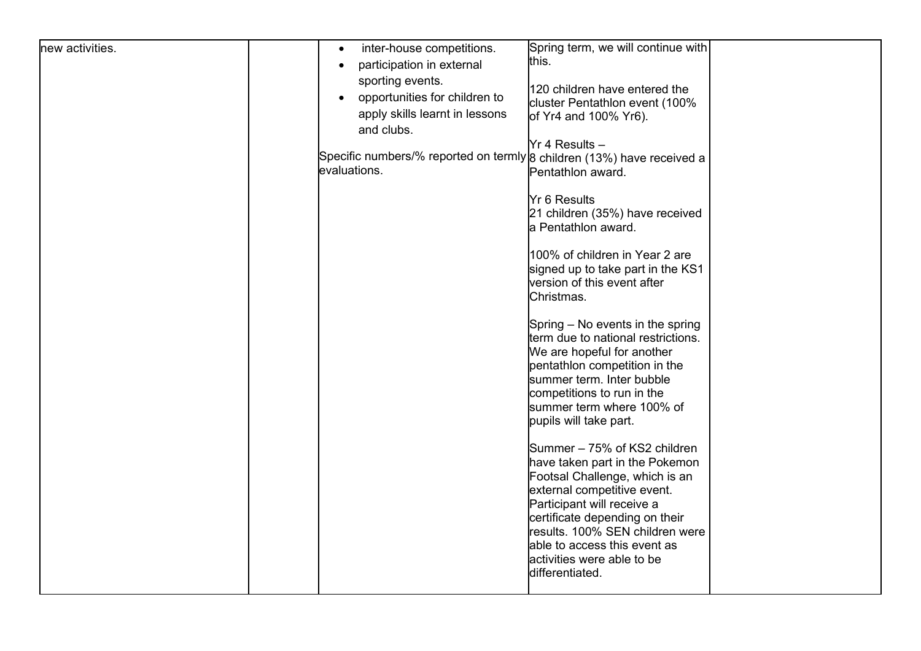| new activities. | inter-house competitions.<br>$\bullet$<br>participation in external<br>$\bullet$<br>sporting events.<br>opportunities for children to<br>$\bullet$<br>apply skills learnt in lessons<br>and clubs.<br>Specific numbers/% reported on termly 8 children (13%) have received a<br>evaluations. | Spring term, we will continue with<br>this.<br>120 children have entered the<br>cluster Pentathlon event (100%<br>of Yr4 and 100% Yr6).<br>Yr 4 Results -<br>Pentathlon award.<br><b>Yr 6 Results</b><br>21 children (35%) have received<br>a Pentathlon award.<br>100% of children in Year 2 are<br>signed up to take part in the KS1<br>version of this event after<br>Christmas.<br>Spring – No events in the spring<br>term due to national restrictions.<br>We are hopeful for another<br>pentathion competition in the<br>summer term. Inter bubble<br>competitions to run in the<br>summer term where 100% of<br>pupils will take part.<br>Summer - 75% of KS2 children |  |
|-----------------|----------------------------------------------------------------------------------------------------------------------------------------------------------------------------------------------------------------------------------------------------------------------------------------------|--------------------------------------------------------------------------------------------------------------------------------------------------------------------------------------------------------------------------------------------------------------------------------------------------------------------------------------------------------------------------------------------------------------------------------------------------------------------------------------------------------------------------------------------------------------------------------------------------------------------------------------------------------------------------------|--|
|                 |                                                                                                                                                                                                                                                                                              | have taken part in the Pokemon<br>Footsal Challenge, which is an<br>external competitive event.<br>Participant will receive a<br>certificate depending on their<br>results. 100% SEN children were<br>able to access this event as<br>activities were able to be<br>differentiated.                                                                                                                                                                                                                                                                                                                                                                                            |  |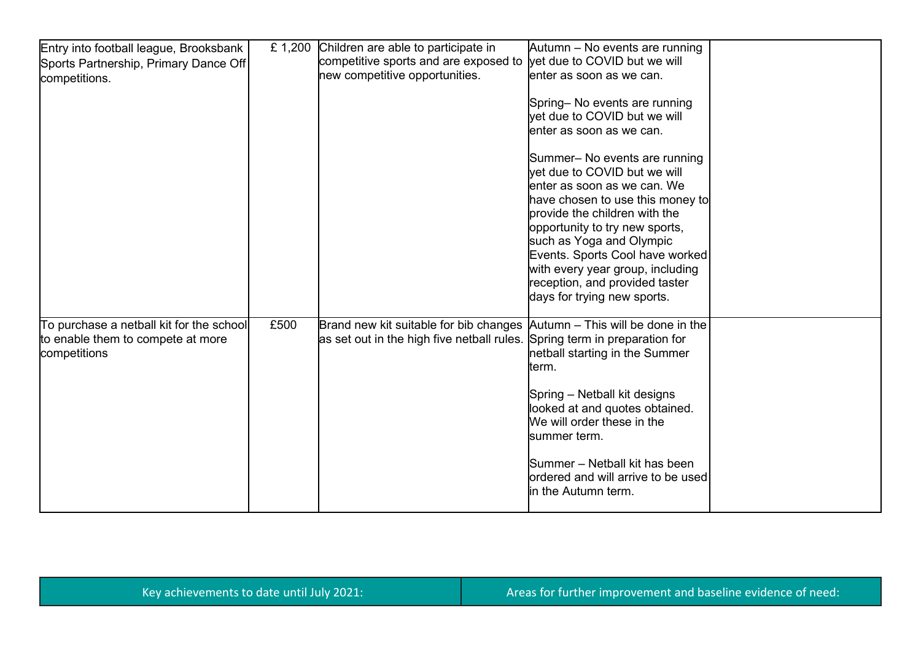| Entry into football league, Brooksbank   | £ 1,200 | Children are able to participate in                                              | Autumn – No events are running                                                               |  |
|------------------------------------------|---------|----------------------------------------------------------------------------------|----------------------------------------------------------------------------------------------|--|
| Sports Partnership, Primary Dance Off    |         | competitive sports and are exposed to                                            | vet due to COVID but we will                                                                 |  |
| competitions.                            |         | new competitive opportunities.                                                   | enter as soon as we can.                                                                     |  |
|                                          |         |                                                                                  | Spring- No events are running                                                                |  |
|                                          |         |                                                                                  | yet due to COVID but we will                                                                 |  |
|                                          |         |                                                                                  | enter as soon as we can.                                                                     |  |
|                                          |         |                                                                                  | Summer- No events are running<br>vet due to COVID but we will<br>enter as soon as we can. We |  |
|                                          |         |                                                                                  | have chosen to use this money to<br>provide the children with the                            |  |
|                                          |         |                                                                                  | opportunity to try new sports,                                                               |  |
|                                          |         |                                                                                  | such as Yoga and Olympic                                                                     |  |
|                                          |         |                                                                                  | Events. Sports Cool have worked                                                              |  |
|                                          |         |                                                                                  | with every year group, including                                                             |  |
|                                          |         |                                                                                  | reception, and provided taster                                                               |  |
|                                          |         |                                                                                  | days for trying new sports.                                                                  |  |
| To purchase a netball kit for the school | £500    | Brand new kit suitable for bib changes $\vert$ Autumn – This will be done in the |                                                                                              |  |
| to enable them to compete at more        |         | as set out in the high five netball rules. Spring term in preparation for        |                                                                                              |  |
| competitions                             |         |                                                                                  | netball starting in the Summer                                                               |  |
|                                          |         |                                                                                  | term.                                                                                        |  |
|                                          |         |                                                                                  | Spring - Netball kit designs                                                                 |  |
|                                          |         |                                                                                  | looked at and quotes obtained.                                                               |  |
|                                          |         |                                                                                  | We will order these in the $\,$                                                              |  |
|                                          |         |                                                                                  | summer term.                                                                                 |  |
|                                          |         |                                                                                  | Summer - Netball kit has been<br>ordered and will arrive to be used                          |  |
|                                          |         |                                                                                  | in the Autumn term.                                                                          |  |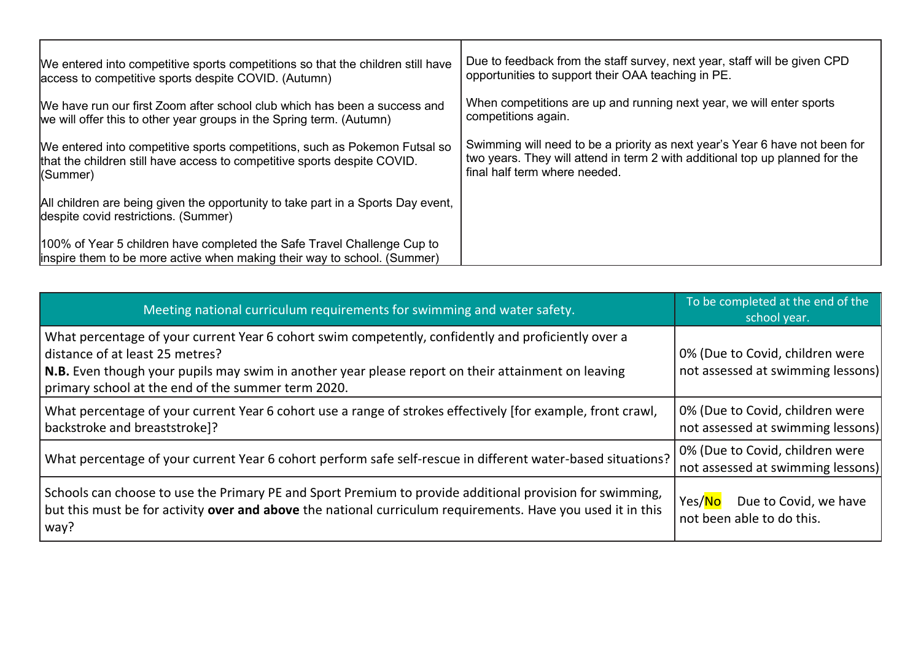| We entered into competitive sports competitions so that the children still have                                                                      | Due to feedback from the staff survey, next year, staff will be given CPD    |
|------------------------------------------------------------------------------------------------------------------------------------------------------|------------------------------------------------------------------------------|
| access to competitive sports despite COVID. (Autumn)                                                                                                 | opportunities to support their OAA teaching in PE.                           |
| We have run our first Zoom after school club which has been a success and                                                                            | When competitions are up and running next year, we will enter sports         |
| we will offer this to other year groups in the Spring term. (Autumn)                                                                                 | competitions again.                                                          |
| We entered into competitive sports competitions, such as Pokemon Futsal so                                                                           | Swimming will need to be a priority as next year's Year 6 have not been for  |
| that the children still have access to competitive sports despite COVID.                                                                             | two years. They will attend in term 2 with additional top up planned for the |
| (Summer)                                                                                                                                             | final half term where needed.                                                |
| All children are being given the opportunity to take part in a Sports Day event,<br>despite covid restrictions. (Summer)                             |                                                                              |
| 100% of Year 5 children have completed the Safe Travel Challenge Cup to<br>linspire them to be more active when making their way to school. (Summer) |                                                                              |

| Meeting national curriculum requirements for swimming and water safety.                                                                                                                                                                                                                                    | To be completed at the end of the<br>school year.                    |
|------------------------------------------------------------------------------------------------------------------------------------------------------------------------------------------------------------------------------------------------------------------------------------------------------------|----------------------------------------------------------------------|
| What percentage of your current Year 6 cohort swim competently, confidently and proficiently over a<br>distance of at least 25 metres?<br>$\vert$ N.B. Even though your pupils may swim in another year please report on their attainment on leaving<br>primary school at the end of the summer term 2020. | 0% (Due to Covid, children were<br>not assessed at swimming lessons) |
| What percentage of your current Year 6 cohort use a range of strokes effectively [for example, front crawl,<br>  backstroke and breaststroke]?                                                                                                                                                             | 0% (Due to Covid, children were<br>not assessed at swimming lessons) |
| What percentage of your current Year 6 cohort perform safe self-rescue in different water-based situations?                                                                                                                                                                                                | 0% (Due to Covid, children were<br>not assessed at swimming lessons) |
| Schools can choose to use the Primary PE and Sport Premium to provide additional provision for swimming,<br>but this must be for activity over and above the national curriculum requirements. Have you used it in this<br>$\vert$ way?                                                                    | Yes/No<br>Due to Covid, we have<br>not been able to do this.         |